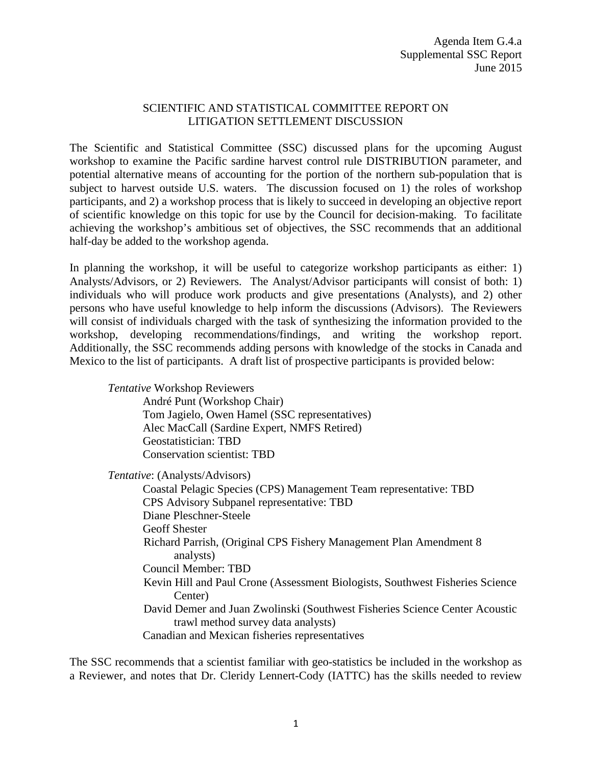## SCIENTIFIC AND STATISTICAL COMMITTEE REPORT ON LITIGATION SETTLEMENT DISCUSSION

The Scientific and Statistical Committee (SSC) discussed plans for the upcoming August workshop to examine the Pacific sardine harvest control rule DISTRIBUTION parameter, and potential alternative means of accounting for the portion of the northern sub-population that is subject to harvest outside U.S. waters. The discussion focused on 1) the roles of workshop participants, and 2) a workshop process that is likely to succeed in developing an objective report of scientific knowledge on this topic for use by the Council for decision-making. To facilitate achieving the workshop's ambitious set of objectives, the SSC recommends that an additional half-day be added to the workshop agenda.

In planning the workshop, it will be useful to categorize workshop participants as either: 1) Analysts/Advisors, or 2) Reviewers. The Analyst/Advisor participants will consist of both: 1) individuals who will produce work products and give presentations (Analysts), and 2) other persons who have useful knowledge to help inform the discussions (Advisors). The Reviewers will consist of individuals charged with the task of synthesizing the information provided to the workshop, developing recommendations/findings, and writing the workshop report. Additionally, the SSC recommends adding persons with knowledge of the stocks in Canada and Mexico to the list of participants. A draft list of prospective participants is provided below:

*Tentative* Workshop Reviewers André Punt (Workshop Chair) Tom Jagielo, Owen Hamel (SSC representatives) Alec MacCall (Sardine Expert, NMFS Retired) Geostatistician: TBD Conservation scientist: TBD

*Tentative*: (Analysts/Advisors)

Coastal Pelagic Species (CPS) Management Team representative: TBD CPS Advisory Subpanel representative: TBD Diane Pleschner-Steele Geoff Shester Richard Parrish, (Original CPS Fishery Management Plan Amendment 8 analysts) Council Member: TBD Kevin Hill and Paul Crone (Assessment Biologists, Southwest Fisheries Science Center) David Demer and Juan Zwolinski (Southwest Fisheries Science Center Acoustic trawl method survey data analysts) Canadian and Mexican fisheries representatives

The SSC recommends that a scientist familiar with geo-statistics be included in the workshop as a Reviewer, and notes that Dr. Cleridy Lennert-Cody (IATTC) has the skills needed to review